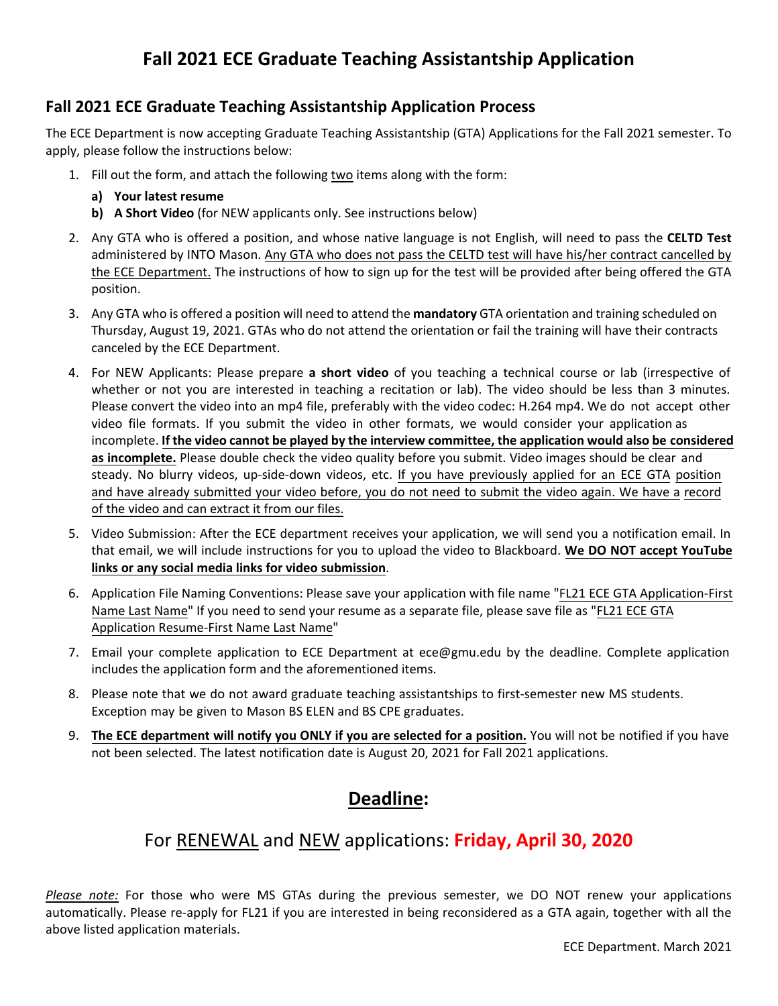# **Fall 2021 ECE Graduate Teaching Assistantship Application**

#### **Fall 2021 ECE Graduate Teaching Assistantship Application Process**

The ECE Department is now accepting Graduate Teaching Assistantship (GTA) Applications for the Fall 2021 semester. To apply, please follow the instructions below:

- 1. Fill out the form, and attach the following two items along with the form:
	- **a) Your latest resume**
	- **b) A Short Video** (for NEW applicants only. See instructions below)
- 2. Any GTA who is offered a position, and whose native language is not English, will need to pass the **CELTD Test** administered by INTO Mason. Any GTA who does not pass the CELTD test will have his/her contract cancelled by the ECE Department. The instructions of how to sign up for the test will be provided after being offered the GTA position.
- 3. Any GTA who is offered a position will need to attend the **mandatory** GTA orientation and training scheduled on Thursday, August 19, 2021. GTAs who do not attend the orientation or fail the training will have their contracts canceled by the ECE Department.
- 4. For NEW Applicants: Please prepare **a short video** of you teaching a technical course or lab (irrespective of whether or not you are interested in teaching a recitation or lab). The video should be less than 3 minutes. Please convert the video into an mp4 file, preferably with the video codec: H.264 mp4. We do not accept other video file formats. If you submit the video in other formats, we would consider your application as incomplete. **If the video cannot be played by the interview committee, the application would also be considered as incomplete.** Please double check the video quality before you submit. Video images should be clear and steady. No blurry videos, up-side-down videos, etc. If you have previously applied for an ECE GTA position and have already submitted your video before, you do not need to submit the video again. We have a record of the video and can extract it from our files.
- 5. Video Submission: After the ECE department receives your application, we will send you a notification email. In that email, we will include instructions for you to upload the video to Blackboard. **We DO NOT accept YouTube links or any social media links for video submission**.
- 6. Application File Naming Conventions: Please save your application with file name "FL21 ECE GTA Application-First Name Last Name" If you need to send your resume as a separate file, please save file as "FL21 ECE GTA Application Resume-First Name Last Name"
- 7. Email your complete application to ECE Department at ece@gmu.edu by the deadline. Complete application includes the application form and the aforementioned items.
- 8. Please note that we do not award graduate teaching assistantships to first-semester new MS students. Exception may be given to Mason BS ELEN and BS CPE graduates.
- 9. **The ECE department will notify you ONLY if you are selected for a position.** You will not be notified if you have not been selected. The latest notification date is August 20, 2021 for Fall 2021 applications.

# **Deadline:**

### For RENEWAL and NEW applications: **Friday, April 30, 2020**

*Please note:* For those who were MS GTAs during the previous semester, we DO NOT renew your applications automatically. Please re-apply for FL21 if you are interested in being reconsidered as a GTA again, together with all the above listed application materials.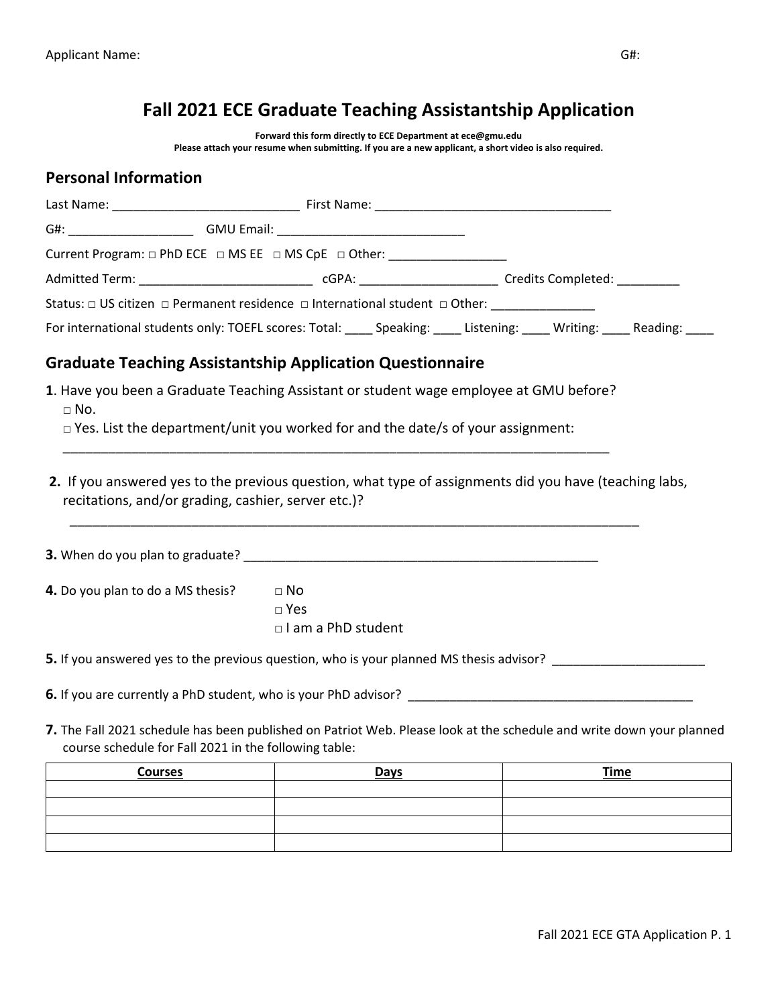# **Fall 2021 ECE Graduate Teaching Assistantship Application**

**Forward this form directly to ECE Department at ece@gmu.edu**

**Please attach your resume when submitting. If you are a new applicant, a short video is also required.** 

#### **Personal Information**

|                                                       | Current Program: □ PhD ECE □ MS EE □ MS CpE □ Other: _________________                                                                                                                                                                   |             |
|-------------------------------------------------------|------------------------------------------------------------------------------------------------------------------------------------------------------------------------------------------------------------------------------------------|-------------|
|                                                       |                                                                                                                                                                                                                                          |             |
|                                                       | Status: $\Box$ US citizen $\Box$ Permanent residence $\Box$ International student $\Box$ Other: __________________                                                                                                                       |             |
|                                                       | For international students only: TOEFL scores: Total: _____ Speaking: _____ Listening: _____ Writing: _____ Reading: ____                                                                                                                |             |
|                                                       | <b>Graduate Teaching Assistantship Application Questionnaire</b>                                                                                                                                                                         |             |
| $\Box$ No.                                            | 1. Have you been a Graduate Teaching Assistant or student wage employee at GMU before?                                                                                                                                                   |             |
|                                                       | $\Box$ Yes. List the department/unit you worked for and the date/s of your assignment:                                                                                                                                                   |             |
| recitations, and/or grading, cashier, server etc.)?   | <b>3.</b> When do you plan to graduate? <b>Example 2018</b> 2019 12:00:00 12:00:00 12:00:00 12:00:00 12:00:00 12:00:00 12:00:00 12:00:00 12:00:00 12:00:00 12:00:00 12:00:00 12:00:00 12:00:00 12:00:00 12:00:00 12:00:00 12:00:00 12:00 |             |
| 4. Do you plan to do a MS thesis?                     | $\Box$ No                                                                                                                                                                                                                                |             |
|                                                       | $\Box$ Yes                                                                                                                                                                                                                               |             |
|                                                       | $\Box$ I am a PhD student                                                                                                                                                                                                                |             |
|                                                       | 5. If you answered yes to the previous question, who is your planned MS thesis advisor?                                                                                                                                                  |             |
|                                                       |                                                                                                                                                                                                                                          |             |
| course schedule for Fall 2021 in the following table: | 7. The Fall 2021 schedule has been published on Patriot Web. Please look at the schedule and write down your planned                                                                                                                     |             |
| <b>Courses</b>                                        | <b>Days</b>                                                                                                                                                                                                                              | <b>Time</b> |
|                                                       |                                                                                                                                                                                                                                          |             |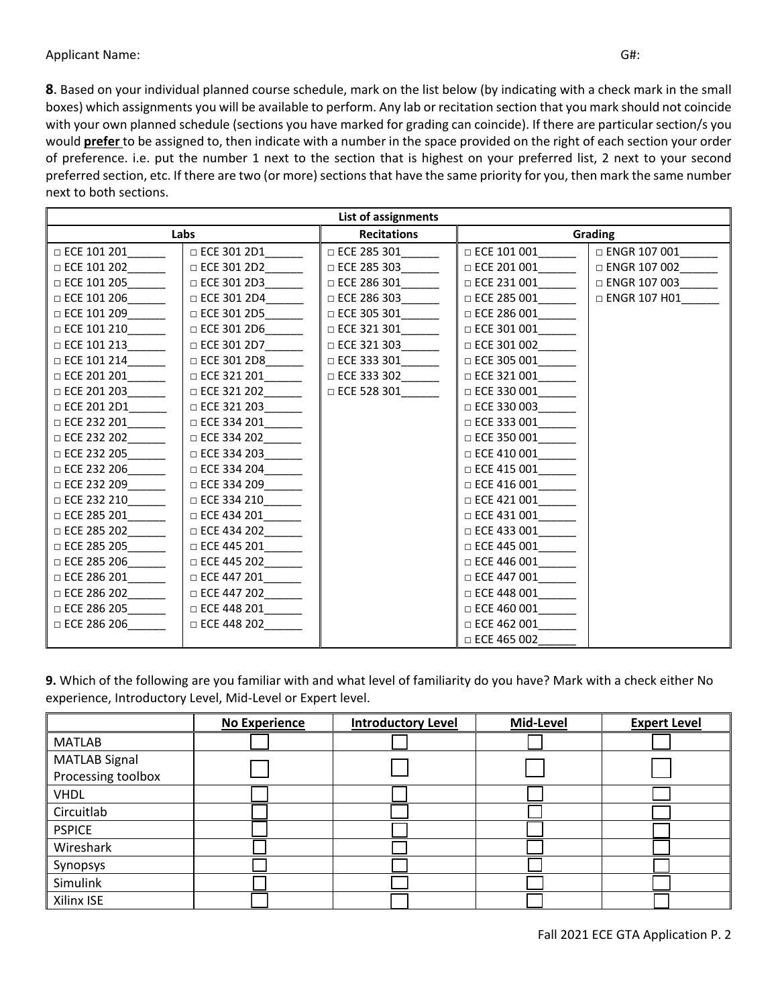**8**. Based on your individual planned course schedule, mark on the list below (by indicating with a check mark in the small boxes) which assignments you will be available to perform. Any lab or recitation section that you mark should not coincide with your own planned schedule (sections you have marked for grading can coincide). If there are particular section/s you would **prefer** to be assigned to, then indicate with a number in the space provided on the right of each section your order of preference. i.e. put the number 1 next to the section that is highest on your preferred list, 2 next to your second preferred section, etc. If there are two (or more) sections that have the same priority for you, then mark the same number next to both sections.

| List of assignments |                                                                                                                              |                             |                           |                     |
|---------------------|------------------------------------------------------------------------------------------------------------------------------|-----------------------------|---------------------------|---------------------|
|                     | Labs                                                                                                                         | <b>Recitations</b>          |                           | Grading             |
| $\Box$ ECE 101 201  | □ ECE 301 2D1                                                                                                                | $\Box$ ECE 285 301          | $\Box$ ECE 101 001        | □ ENGR 107 001      |
| $\Box$ ECE 101 202  | $\Box$ ECE 301 2D2                                                                                                           | $\Box$ ECE 285 303          | $\Box$ ECE 201 001        | □ ENGR 107 002      |
| $\Box$ ECE 101 205  | □ ECE 301 2D3                                                                                                                |                             | □ ECE 231 001             | □ ENGR 107 003      |
| $\Box$ ECE 101 206  |                                                                                                                              | □ ECE 301 2D4 □ ECE 286 303 | $\Box$ ECE 285 001        | $\Box$ ENGR 107 H01 |
| $\Box$ ECE 101 209  | $\Box$ ECE 301 2D5______                                                                                                     | □ ECE 305 301______         | $\Box$ ECE 286 001        |                     |
| $\Box$ ECE 101 210  | $\Box$ ECE 301 2D6                                                                                                           |                             | $\Box$ ECE 301 001        |                     |
| $\Box$ ECE 101 213  |                                                                                                                              | $\Box$ ECE 321 303          | $\Box$ ECE 301 002______  |                     |
| $\Box$ ECE 101 214  | □ ECE 301 2D8______                                                                                                          |                             | $\Box$ ECE 305 001        |                     |
| □ ECE 201 201       | $\Box$ ECE 321 201______                                                                                                     | $\Box$ ECE 333 302          | $\Box$ ECE 321 001        |                     |
|                     | □ ECE 321 202________   □ ECE 528 301_______                                                                                 |                             | $\Box$ ECE 330 001_______ |                     |
| $\Box$ ECE 201 2D1  | □ ECE 321 203________                                                                                                        |                             | $\Box$ ECE 330 003        |                     |
| $\Box$ ECE 232 201  |                                                                                                                              |                             | $\Box$ ECE 333 001        |                     |
|                     |                                                                                                                              |                             | $\Box$ ECE 350 001______  |                     |
|                     | □ ECE 334 201<br>□ ECE 334 202<br>□ ECE 334 203                                                                              |                             | $\Box$ ECE 410 001        |                     |
| $\Box$ ECE 232 206  | □ ECE 334 204                                                                                                                |                             | □ ECE 415 001             |                     |
|                     | $\begin{array}{c c} \Box \,\, \text{ECE 334 209} \qquad \qquad \\ \Box \,\, \text{ECE 334 210} \qquad \qquad \\ \end{array}$ |                             | $\Box$ ECE 416 001______  |                     |
| $\Box$ ECE 232 210  |                                                                                                                              |                             | $\Box$ ECE 421 001        |                     |
| $\Box$ ECE 285 201  | □ ECE 434 201______                                                                                                          |                             | $\Box$ ECE 431 001_______ |                     |
|                     |                                                                                                                              |                             | $\Box$ ECE 433 001_______ |                     |
| $\Box$ ECE 285 205  |                                                                                                                              |                             | $\Box$ ECE 445 001        |                     |
| $\Box$ ECE 285 206  | □ ECE 445 202                                                                                                                |                             | $\Box$ ECE 446 001        |                     |
|                     | □ ECE 447 201______                                                                                                          |                             | $\Box$ ECE 447 001        |                     |
| $\Box$ ECE 286 202  | $\Box$ ECE 447 202                                                                                                           |                             | $\Box$ ECE 448 001        |                     |
| $\Box$ ECE 286 205  | $\Box$ ECE 448 201                                                                                                           |                             | $\Box$ ECE 460 001        |                     |
| $\Box$ ECE 286 206  | $\Box$ ECE 448 202                                                                                                           |                             | $\Box$ ECE 462 001        |                     |
|                     |                                                                                                                              |                             | $\Box$ ECE 465 002        |                     |

**9.** Which of the following are you familiar with and what level of familiarity do you have? Mark with a check either No experience, Introductory Level, Mid-Level or Expert level.

|                      | <b>No Experience</b> | <b>Introductory Level</b> | Mid-Level | <b>Expert Level</b> |
|----------------------|----------------------|---------------------------|-----------|---------------------|
| <b>MATLAB</b>        |                      |                           |           |                     |
| <b>MATLAB Signal</b> |                      |                           |           |                     |
| Processing toolbox   |                      |                           |           |                     |
| <b>VHDL</b>          |                      |                           |           |                     |
| Circuitlab           |                      |                           |           |                     |
| <b>PSPICE</b>        |                      |                           |           |                     |
| Wireshark            |                      |                           |           |                     |
| Synopsys             |                      |                           |           |                     |
| Simulink             |                      |                           |           |                     |
| Xilinx ISE           |                      |                           |           |                     |